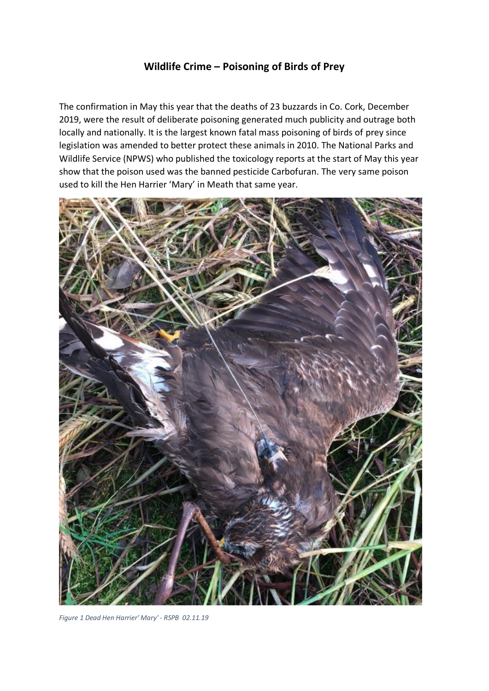## **Wildlife Crime – Poisoning of Birds of Prey**

The confirmation in May this year that the deaths of 23 buzzards in Co. Cork, December 2019, were the result of deliberate poisoning generated much publicity and outrage both locally and nationally. It is the largest known fatal mass poisoning of birds of prey since legislation was amended to better protect these animals in 2010. The National Parks and Wildlife Service (NPWS) who published the toxicology reports at the start of May this year show that the poison used was the banned pesticide Carbofuran. The very same poison used to kill the Hen Harrier 'Mary' in Meath that same year.



*Figure 1 Dead Hen Harrier' Mary' - RSPB 02.11.19*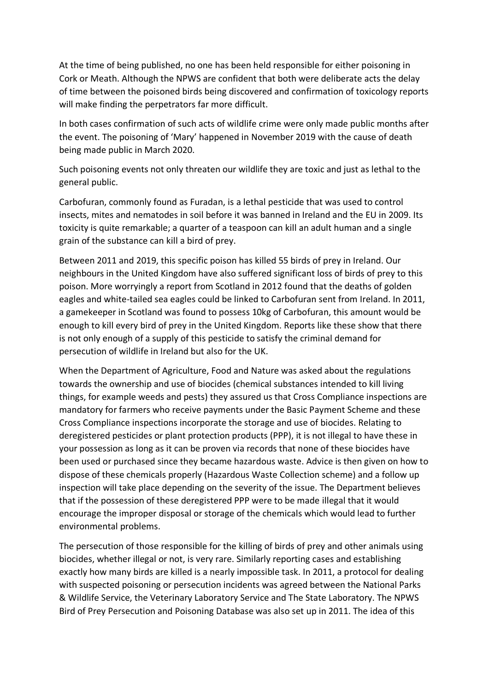At the time of being published, no one has been held responsible for either poisoning in Cork or Meath. Although the NPWS are confident that both were deliberate acts the delay of time between the poisoned birds being discovered and confirmation of toxicology reports will make finding the perpetrators far more difficult.

In both cases confirmation of such acts of wildlife crime were only made public months after the event. The poisoning of 'Mary' happened in November 2019 with the cause of death being made public in March 2020.

Such poisoning events not only threaten our wildlife they are toxic and just as lethal to the general public.

Carbofuran, commonly found as Furadan, is a lethal pesticide that was used to control insects, mites and nematodes in soil before it was banned in Ireland and the EU in 2009. Its toxicity is quite remarkable; a quarter of a teaspoon can kill an adult human and a single grain of the substance can kill a bird of prey.

Between 2011 and 2019, this specific poison has killed 55 birds of prey in Ireland. Our neighbours in the United Kingdom have also suffered significant loss of birds of prey to this poison. More worryingly a report from Scotland in 2012 found that the deaths of golden eagles and white-tailed sea eagles could be linked to Carbofuran sent from Ireland. In 2011, a gamekeeper in Scotland was found to possess 10kg of Carbofuran, this amount would be enough to kill every bird of prey in the United Kingdom. Reports like these show that there is not only enough of a supply of this pesticide to satisfy the criminal demand for persecution of wildlife in Ireland but also for the UK.

When the Department of Agriculture, Food and Nature was asked about the regulations towards the ownership and use of biocides (chemical substances intended to kill living things, for example weeds and pests) they assured us that Cross Compliance inspections are mandatory for farmers who receive payments under the Basic Payment Scheme and these Cross Compliance inspections incorporate the storage and use of biocides. Relating to deregistered pesticides or plant protection products (PPP), it is not illegal to have these in your possession as long as it can be proven via records that none of these biocides have been used or purchased since they became hazardous waste. Advice is then given on how to dispose of these chemicals properly (Hazardous Waste Collection scheme) and a follow up inspection will take place depending on the severity of the issue. The Department believes that if the possession of these deregistered PPP were to be made illegal that it would encourage the improper disposal or storage of the chemicals which would lead to further environmental problems.

The persecution of those responsible for the killing of birds of prey and other animals using biocides, whether illegal or not, is very rare. Similarly reporting cases and establishing exactly how many birds are killed is a nearly impossible task. In 2011, a protocol for dealing with suspected poisoning or persecution incidents was agreed between the National Parks & Wildlife Service, the Veterinary Laboratory Service and The State Laboratory. The NPWS Bird of Prey Persecution and Poisoning Database was also set up in 2011. The idea of this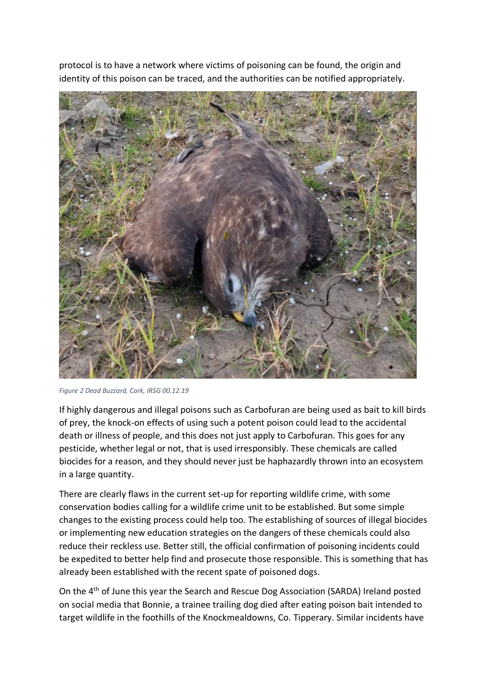protocol is to have a network where victims of poisoning can be found, the origin and identity of this poison can be traced, and the authorities can be notified appropriately.



*Figure 2 Dead Buzzard, Cork, IRSG 00.12.19*

If highly dangerous and illegal poisons such as Carbofuran are being used as bait to kill birds of prey, the knock-on effects of using such a potent poison could lead to the accidental death or illness of people, and this does not just apply to Carbofuran. This goes for any pesticide, whether legal or not, that is used irresponsibly. These chemicals are called biocides for a reason, and they should never just be haphazardly thrown into an ecosystem in a large quantity.

There are clearly flaws in the current set-up for reporting wildlife crime, with some conservation bodies calling for a wildlife crime unit to be established. But some simple changes to the existing process could help too. The establishing of sources of illegal biocides or implementing new education strategies on the dangers of these chemicals could also reduce their reckless use. Better still, the official confirmation of poisoning incidents could be expedited to better help find and prosecute those responsible. This is something that has already been established with the recent spate of poisoned dogs.

On the 4th of June this year the Search and Rescue Dog Association (SARDA) Ireland posted on social media that Bonnie, a trainee trailing dog died after eating poison bait intended to target wildlife in the foothills of the Knockmealdowns, Co. Tipperary. Similar incidents have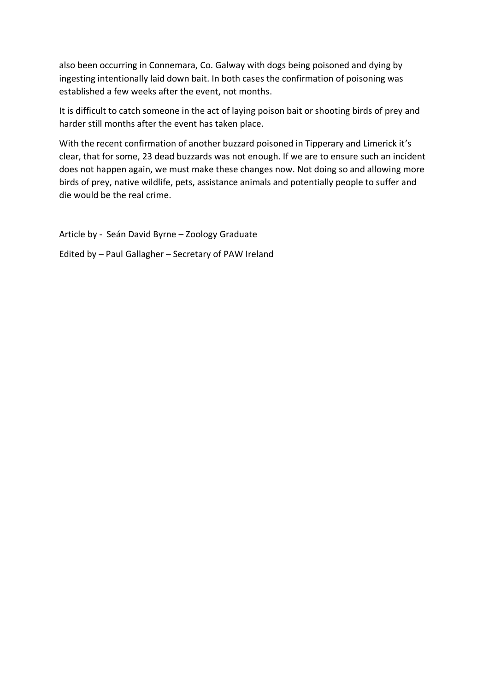also been occurring in Connemara, Co. Galway with dogs being poisoned and dying by ingesting intentionally laid down bait. In both cases the confirmation of poisoning was established a few weeks after the event, not months.

It is difficult to catch someone in the act of laying poison bait or shooting birds of prey and harder still months after the event has taken place.

With the recent confirmation of another buzzard poisoned in Tipperary and Limerick it's clear, that for some, 23 dead buzzards was not enough. If we are to ensure such an incident does not happen again, we must make these changes now. Not doing so and allowing more birds of prey, native wildlife, pets, assistance animals and potentially people to suffer and die would be the real crime.

Article by - Seán David Byrne – Zoology Graduate

Edited by – Paul Gallagher – Secretary of PAW Ireland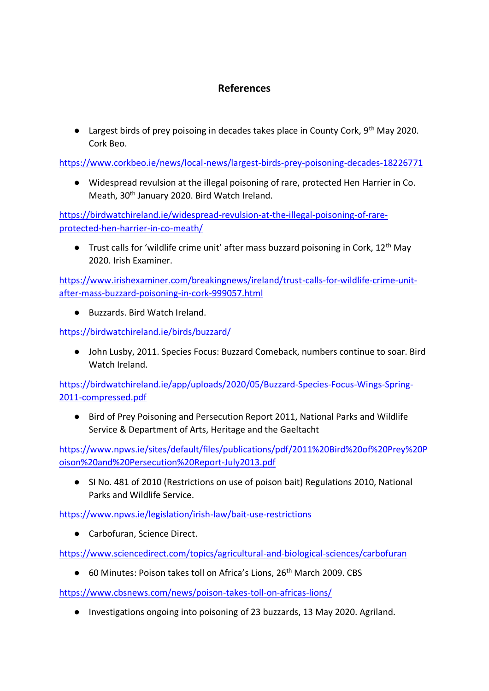## **References**

● Largest birds of prey poisoing in decades takes place in County Cork, 9<sup>th</sup> May 2020. Cork Beo.

<https://www.corkbeo.ie/news/local-news/largest-birds-prey-poisoning-decades-18226771>

● Widespread revulsion at the illegal poisoning of rare, protected Hen Harrier in Co. Meath, 30<sup>th</sup> January 2020. Bird Watch Ireland.

[https://birdwatchireland.ie/widespread-revulsion-at-the-illegal-poisoning-of-rare](https://birdwatchireland.ie/widespread-revulsion-at-the-illegal-poisoning-of-rare-protected-hen-harrier-in-co-meath/)[protected-hen-harrier-in-co-meath/](https://birdwatchireland.ie/widespread-revulsion-at-the-illegal-poisoning-of-rare-protected-hen-harrier-in-co-meath/)

**•** Trust calls for 'wildlife crime unit' after mass buzzard poisoning in Cork,  $12<sup>th</sup>$  May 2020. Irish Examiner.

[https://www.irishexaminer.com/breakingnews/ireland/trust-calls-for-wildlife-crime-unit](https://www.irishexaminer.com/breakingnews/ireland/trust-calls-for-wildlife-crime-unit-after-mass-buzzard-poisoning-in-cork-999057.html)[after-mass-buzzard-poisoning-in-cork-999057.html](https://www.irishexaminer.com/breakingnews/ireland/trust-calls-for-wildlife-crime-unit-after-mass-buzzard-poisoning-in-cork-999057.html)

● Buzzards, Bird Watch Ireland.

<https://birdwatchireland.ie/birds/buzzard/>

● John Lusby, 2011. Species Focus: Buzzard Comeback, numbers continue to soar. Bird Watch Ireland.

[https://birdwatchireland.ie/app/uploads/2020/05/Buzzard-Species-Focus-Wings-Spring-](https://birdwatchireland.ie/app/uploads/2020/05/Buzzard-Species-Focus-Wings-Spring-2011-compressed.pdf)[2011-compressed.pdf](https://birdwatchireland.ie/app/uploads/2020/05/Buzzard-Species-Focus-Wings-Spring-2011-compressed.pdf)

● Bird of Prey Poisoning and Persecution Report 2011, National Parks and Wildlife Service & Department of Arts, Heritage and the Gaeltacht

[https://www.npws.ie/sites/default/files/publications/pdf/2011%20Bird%20of%20Prey%20P](https://www.npws.ie/sites/default/files/publications/pdf/2011%20Bird%20of%20Prey%20Poison%20and%20Persecution%20Report-July2013.pdf) [oison%20and%20Persecution%20Report-July2013.pdf](https://www.npws.ie/sites/default/files/publications/pdf/2011%20Bird%20of%20Prey%20Poison%20and%20Persecution%20Report-July2013.pdf)

● SI No. 481 of 2010 (Restrictions on use of poison bait) Regulations 2010, National Parks and Wildlife Service.

<https://www.npws.ie/legislation/irish-law/bait-use-restrictions>

● Carbofuran, Science Direct.

<https://www.sciencedirect.com/topics/agricultural-and-biological-sciences/carbofuran>

● 60 Minutes: Poison takes toll on Africa's Lions, 26<sup>th</sup> March 2009, CBS

<https://www.cbsnews.com/news/poison-takes-toll-on-africas-lions/>

● Investigations ongoing into poisoning of 23 buzzards, 13 May 2020. Agriland.